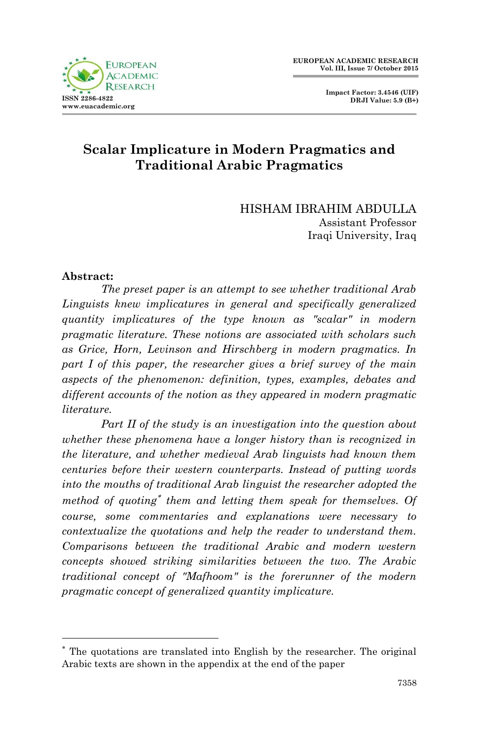

 **Impact Factor: 3.4546 (UIF) DRJI Value: 5.9 (B+)**

# **Scalar Implicature in Modern Pragmatics and Traditional Arabic Pragmatics**

HISHAM IBRAHIM ABDULLA Assistant Professor Iraqi University, Iraq

#### **Abstract:**

-

*The preset paper is an attempt to see whether traditional Arab Linguists knew implicatures in general and specifically generalized quantity implicatures of the type known as "scalar" in modern pragmatic literature. These notions are associated with scholars such as Grice, Horn, Levinson and Hirschberg in modern pragmatics. In part I of this paper, the researcher gives a brief survey of the main aspects of the phenomenon: definition, types, examples, debates and different accounts of the notion as they appeared in modern pragmatic literature.* 

*Part II of the study is an investigation into the question about whether these phenomena have a longer history than is recognized in the literature, and whether medieval Arab linguists had known them centuries before their western counterparts. Instead of putting words into the mouths of traditional Arab linguist the researcher adopted the method of quoting them and letting them speak for themselves. Of course, some commentaries and explanations were necessary to contextualize the quotations and help the reader to understand them. Comparisons between the traditional Arabic and modern western concepts showed striking similarities between the two. The Arabic traditional concept of "Mafhoom" is the forerunner of the modern pragmatic concept of generalized quantity implicature.*

The quotations are translated into English by the researcher. The original Arabic texts are shown in the appendix at the end of the paper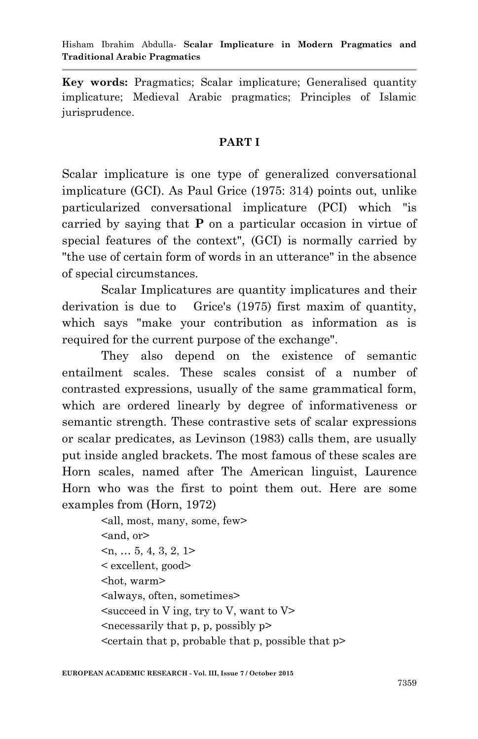**Key words:** Pragmatics; Scalar implicature; Generalised quantity implicature; Medieval Arabic pragmatics; Principles of Islamic jurisprudence.

#### **PART I**

Scalar implicature is one type of generalized conversational implicature (GCI). As Paul Grice (1975: 314) points out, unlike particularized conversational implicature (PCI) which "is carried by saying that **P** on a particular occasion in virtue of special features of the context", (GCI) is normally carried by "the use of certain form of words in an utterance" in the absence of special circumstances.

Scalar Implicatures are quantity implicatures and their derivation is due to Grice's (1975) first maxim of quantity, which says "make your contribution as information as is required for the current purpose of the exchange".

They also depend on the existence of semantic entailment scales. These scales consist of a number of contrasted expressions, usually of the same grammatical form, which are ordered linearly by degree of informativeness or semantic strength. These contrastive sets of scalar expressions or scalar predicates, as Levinson (1983) calls them, are usually put inside angled brackets. The most famous of these scales are Horn scales, named after The American linguist, Laurence Horn who was the first to point them out. Here are some examples from (Horn, 1972)

> <all, most, many, some, few> <and, or  $\leq n, \ldots 5, 4, 3, 2, 1$ < excellent, good> <hot, warm> <always, often, sometimes>  $\leq$  succeed in V ing, try to V, want to V  $\leq$  necessarily that p, p, possibly p  $\epsilon$  <certain that p, probable that p, possible that p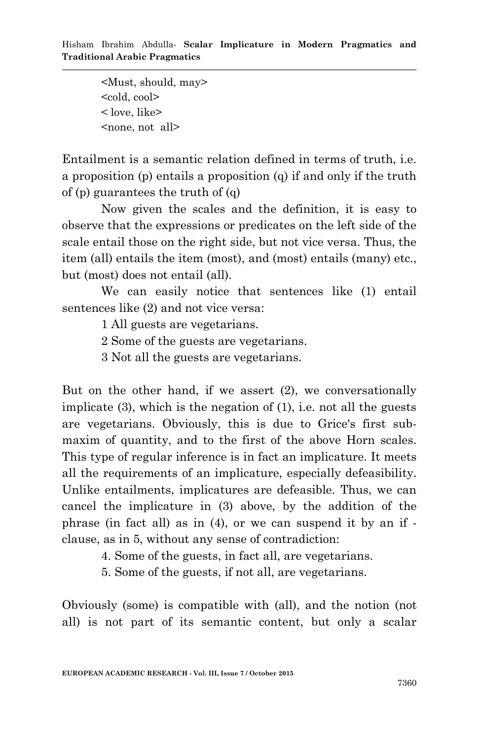<Must, should, may> <cold, cool> < love, like> <none, not all>

Entailment is a semantic relation defined in terms of truth, i.e. a proposition (p) entails a proposition (q) if and only if the truth of (p) guarantees the truth of (q)

Now given the scales and the definition, it is easy to observe that the expressions or predicates on the left side of the scale entail those on the right side, but not vice versa. Thus, the item (all) entails the item (most), and (most) entails (many) etc., but (most) does not entail (all).

We can easily notice that sentences like (1) entail sentences like (2) and not vice versa:

1 All guests are vegetarians.

2 Some of the guests are vegetarians.

3 Not all the guests are vegetarians.

But on the other hand, if we assert (2), we conversationally implicate (3), which is the negation of (1), i.e. not all the guests are vegetarians. Obviously, this is due to Grice's first submaxim of quantity, and to the first of the above Horn scales. This type of regular inference is in fact an implicature. It meets all the requirements of an implicature, especially defeasibility. Unlike entailments, implicatures are defeasible. Thus, we can cancel the implicature in (3) above, by the addition of the phrase (in fact all) as in (4), or we can suspend it by an if clause, as in 5, without any sense of contradiction:

4. Some of the guests, in fact all, are vegetarians.

5. Some of the guests, if not all, are vegetarians.

Obviously (some) is compatible with (all), and the notion (not all) is not part of its semantic content, but only a scalar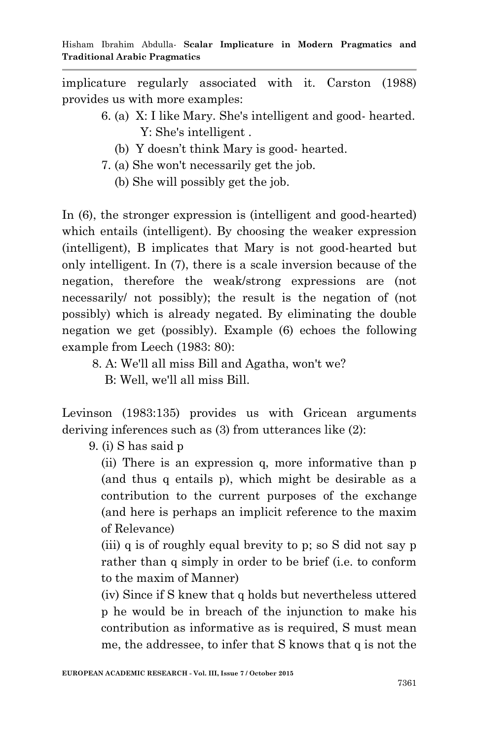implicature regularly associated with it. Carston (1988) provides us with more examples:

- 6. (a) X: I like Mary. She's intelligent and good- hearted. Y: She's intelligent .
	- (b) Y doesn't think Mary is good- hearted.
- 7. (a) She won't necessarily get the job.
	- (b) She will possibly get the job.

In (6), the stronger expression is (intelligent and good-hearted) which entails (intelligent). By choosing the weaker expression (intelligent), B implicates that Mary is not good-hearted but only intelligent. In (7), there is a scale inversion because of the negation, therefore the weak/strong expressions are (not necessarily/ not possibly); the result is the negation of (not possibly) which is already negated. By eliminating the double negation we get (possibly). Example (6) echoes the following example from Leech (1983: 80):

- 8. A: We'll all miss Bill and Agatha, won't we?
	- B: Well, we'll all miss Bill.

Levinson (1983:135) provides us with Gricean arguments deriving inferences such as (3) from utterances like (2):

9. (i) S has said p

(ii) There is an expression q, more informative than p (and thus q entails p), which might be desirable as a contribution to the current purposes of the exchange (and here is perhaps an implicit reference to the maxim of Relevance)

(iii) q is of roughly equal brevity to p; so S did not say p rather than q simply in order to be brief (i.e. to conform to the maxim of Manner)

(iv) Since if S knew that q holds but nevertheless uttered p he would be in breach of the injunction to make his contribution as informative as is required, S must mean me, the addressee, to infer that S knows that q is not the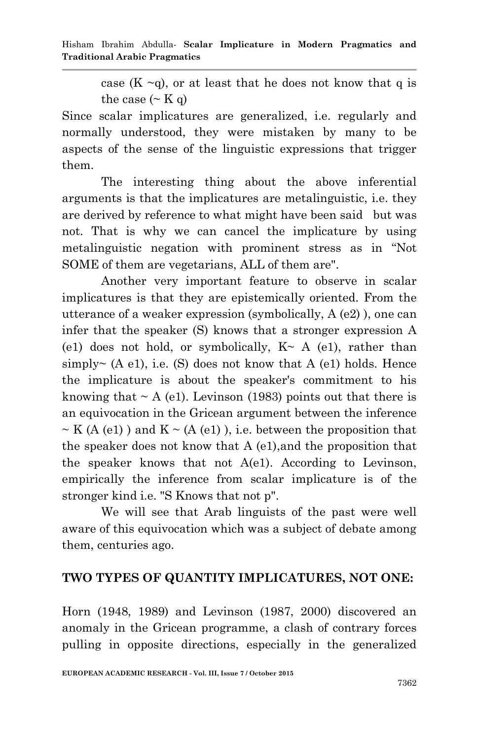case  $(K \sim q)$ , or at least that he does not know that q is the case  $({\sim K q})$ 

Since scalar implicatures are generalized, i.e. regularly and normally understood, they were mistaken by many to be aspects of the sense of the linguistic expressions that trigger them.

The interesting thing about the above inferential arguments is that the implicatures are metalinguistic, i.e. they are derived by reference to what might have been said but was not. That is why we can cancel the implicature by using metalinguistic negation with prominent stress as in "Not SOME of them are vegetarians, ALL of them are".

Another very important feature to observe in scalar implicatures is that they are epistemically oriented. From the utterance of a weaker expression (symbolically, A (e2) ), one can infer that the speaker (S) knows that a stronger expression A (e1) does not hold, or symbolically,  $K \sim A$  (e1), rather than simply~ (A e1), i.e. (S) does not know that A (e1) holds. Hence the implicature is about the speaker's commitment to his knowing that  $\sim A$  (e1). Levinson (1983) points out that there is an equivocation in the Gricean argument between the inference  $\sim$  K (A (e1)) and K  $\sim$  (A (e1)), i.e. between the proposition that the speaker does not know that A (e1),and the proposition that the speaker knows that not A(e1). According to Levinson, empirically the inference from scalar implicature is of the stronger kind i.e. "S Knows that not p".

We will see that Arab linguists of the past were well aware of this equivocation which was a subject of debate among them, centuries ago.

## **TWO TYPES OF QUANTITY IMPLICATURES, NOT ONE:**

Horn (1948, 1989) and Levinson (1987, 2000) discovered an anomaly in the Gricean programme, a clash of contrary forces pulling in opposite directions, especially in the generalized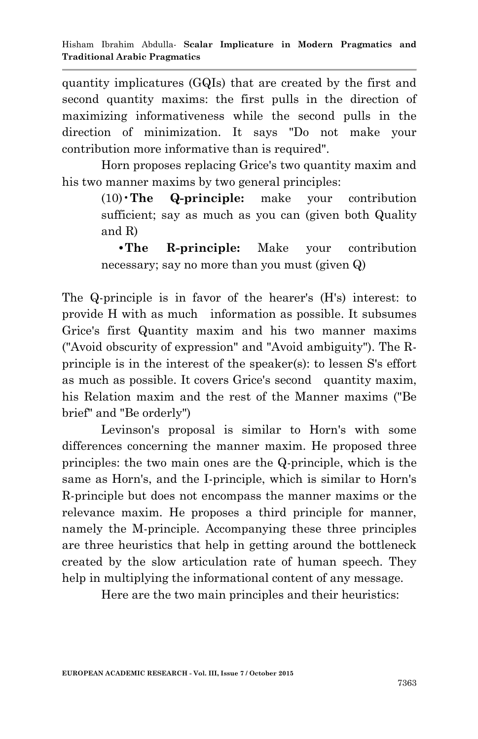quantity implicatures (GQIs) that are created by the first and second quantity maxims: the first pulls in the direction of maximizing informativeness while the second pulls in the direction of minimization. It says "Do not make your contribution more informative than is required".

Horn proposes replacing Grice's two quantity maxim and his two manner maxims by two general principles:

> (10)•**The Q-principle:** make your contribution sufficient; say as much as you can (given both Quality and R)

> **•The R-principle:** Make your contribution necessary; say no more than you must (given Q)

The Q-principle is in favor of the hearer's (H's) interest: to provide H with as much information as possible. It subsumes Grice's first Quantity maxim and his two manner maxims ("Avoid obscurity of expression" and "Avoid ambiguity"). The Rprinciple is in the interest of the speaker(s): to lessen S's effort as much as possible. It covers Grice's second quantity maxim, his Relation maxim and the rest of the Manner maxims ("Be brief" and "Be orderly")

Levinson's proposal is similar to Horn's with some differences concerning the manner maxim. He proposed three principles: the two main ones are the Q-principle, which is the same as Horn's, and the I-principle, which is similar to Horn's R-principle but does not encompass the manner maxims or the relevance maxim. He proposes a third principle for manner, namely the M-principle. Accompanying these three principles are three heuristics that help in getting around the bottleneck created by the slow articulation rate of human speech. They help in multiplying the informational content of any message.

Here are the two main principles and their heuristics: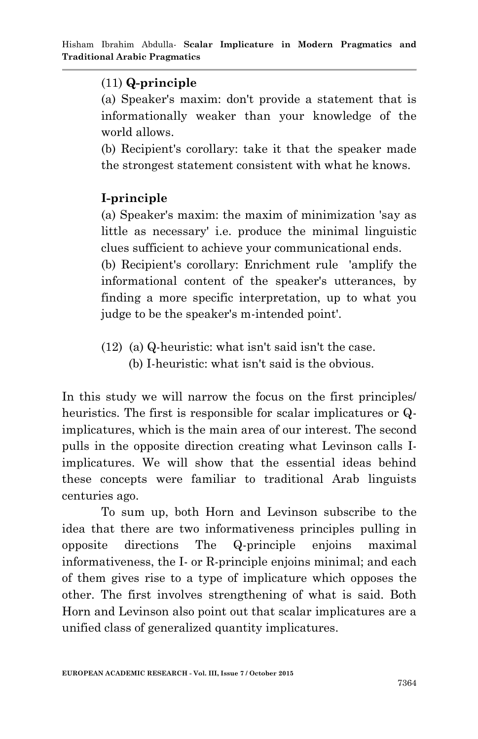## (11) **Q-principle**

(a) Speaker's maxim: don't provide a statement that is informationally weaker than your knowledge of the world allows.

(b) Recipient's corollary: take it that the speaker made the strongest statement consistent with what he knows.

# **I-principle**

(a) Speaker's maxim: the maxim of minimization 'say as little as necessary' i.e. produce the minimal linguistic clues sufficient to achieve your communicational ends.

(b) Recipient's corollary: Enrichment rule 'amplify the informational content of the speaker's utterances, by finding a more specific interpretation, up to what you judge to be the speaker's m-intended point'.

(12) (a) Q-heuristic: what isn't said isn't the case. (b) I-heuristic: what isn't said is the obvious.

In this study we will narrow the focus on the first principles/ heuristics. The first is responsible for scalar implicatures or Qimplicatures, which is the main area of our interest. The second pulls in the opposite direction creating what Levinson calls Iimplicatures. We will show that the essential ideas behind these concepts were familiar to traditional Arab linguists centuries ago.

To sum up, both Horn and Levinson subscribe to the idea that there are two informativeness principles pulling in opposite directions The Q-principle enjoins maximal informativeness, the I- or R-principle enjoins minimal; and each of them gives rise to a type of implicature which opposes the other. The first involves strengthening of what is said. Both Horn and Levinson also point out that scalar implicatures are a unified class of generalized quantity implicatures.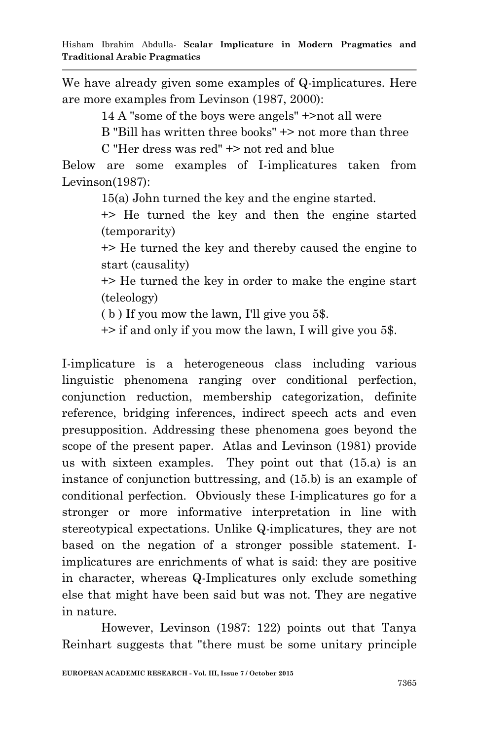We have already given some examples of Q-implicatures. Here are more examples from Levinson (1987, 2000):

14 A "some of the boys were angels" +>not all were

B "Bill has written three books" +> not more than three

C "Her dress was red" +> not red and blue

Below are some examples of I-implicatures taken from Levinson(1987):

15(a) John turned the key and the engine started.

+> He turned the key and then the engine started (temporarity)

+> He turned the key and thereby caused the engine to start (causality)

+> He turned the key in order to make the engine start (teleology)

( b ) If you mow the lawn, I'll give you 5\$.

+> if and only if you mow the lawn, I will give you 5\$.

I-implicature is a heterogeneous class including various linguistic phenomena ranging over conditional perfection, conjunction reduction, membership categorization, definite reference, bridging inferences, indirect speech acts and even presupposition. Addressing these phenomena goes beyond the scope of the present paper. Atlas and Levinson (1981) provide us with sixteen examples. They point out that (15.a) is an instance of conjunction buttressing, and (15.b) is an example of conditional perfection. Obviously these I-implicatures go for a stronger or more informative interpretation in line with stereotypical expectations. Unlike Q-implicatures, they are not based on the negation of a stronger possible statement. Iimplicatures are enrichments of what is said: they are positive in character, whereas Q-Implicatures only exclude something else that might have been said but was not. They are negative in nature.

However, Levinson (1987: 122) points out that Tanya Reinhart suggests that "there must be some unitary principle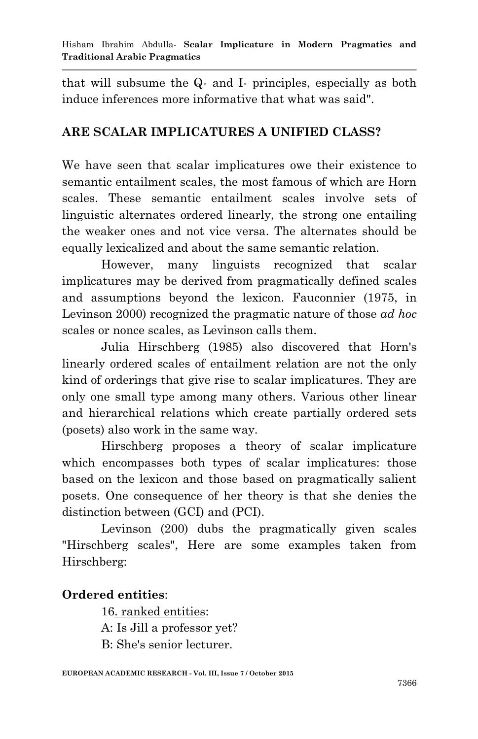that will subsume the Q- and I- principles, especially as both induce inferences more informative that what was said".

## **ARE SCALAR IMPLICATURES A UNIFIED CLASS?**

We have seen that scalar implicatures owe their existence to semantic entailment scales, the most famous of which are Horn scales. These semantic entailment scales involve sets of linguistic alternates ordered linearly, the strong one entailing the weaker ones and not vice versa. The alternates should be equally lexicalized and about the same semantic relation.

However, many linguists recognized that scalar implicatures may be derived from pragmatically defined scales and assumptions beyond the lexicon. Fauconnier (1975, in Levinson 2000) recognized the pragmatic nature of those *ad hoc* scales or nonce scales, as Levinson calls them.

Julia Hirschberg (1985) also discovered that Horn's linearly ordered scales of entailment relation are not the only kind of orderings that give rise to scalar implicatures. They are only one small type among many others. Various other linear and hierarchical relations which create partially ordered sets (posets) also work in the same way.

Hirschberg proposes a theory of scalar implicature which encompasses both types of scalar implicatures: those based on the lexicon and those based on pragmatically salient posets. One consequence of her theory is that she denies the distinction between (GCI) and (PCI).

Levinson (200) dubs the pragmatically given scales "Hirschberg scales", Here are some examples taken from Hirschberg:

## **Ordered entities**:

16. ranked entities:

A: Is Jill a professor yet?

B: She's senior lecturer.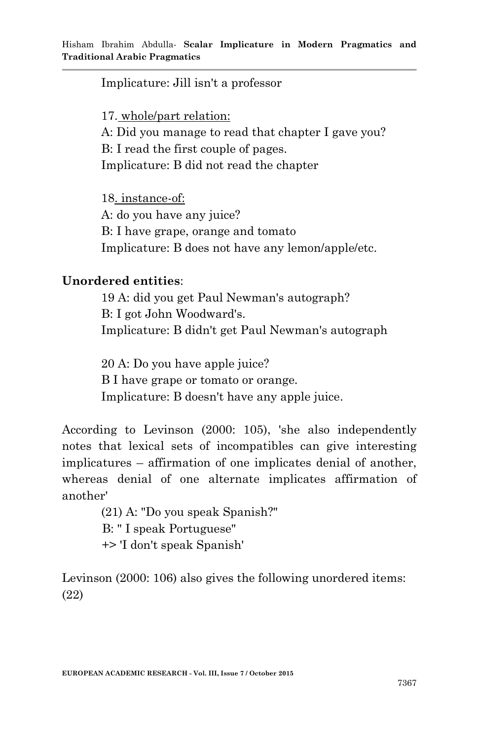Implicature: Jill isn't a professor

17. whole/part relation:

A: Did you manage to read that chapter I gave you? B: I read the first couple of pages. Implicature: B did not read the chapter

18. instance-of: A: do you have any juice? B: I have grape, orange and tomato Implicature: B does not have any lemon/apple/etc.

#### **Unordered entities**:

19 A: did you get Paul Newman's autograph? B: I got John Woodward's. Implicature: B didn't get Paul Newman's autograph

20 A: Do you have apple juice? B I have grape or tomato or orange. Implicature: B doesn't have any apple juice.

According to Levinson (2000: 105), 'she also independently notes that lexical sets of incompatibles can give interesting implicatures – affirmation of one implicates denial of another, whereas denial of one alternate implicates affirmation of another'

> (21) A: "Do you speak Spanish?" B: " I speak Portuguese" +> 'I don't speak Spanish'

Levinson (2000: 106) also gives the following unordered items: (22)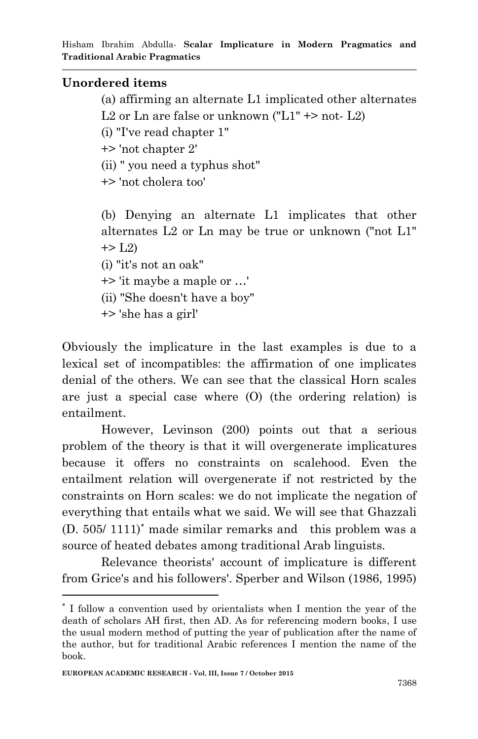### **Unordered items**

(a) affirming an alternate L1 implicated other alternates

L2 or Ln are false or unknown ("L1"  $\rightarrow$  not- L2)

(i) "I've read chapter 1"

+> 'not chapter 2'

(ii) " you need a typhus shot"

+> 'not cholera too'

(b) Denying an alternate L1 implicates that other alternates L2 or Ln may be true or unknown ("not L1"  $\pm$  - L2)

(i) "it's not an oak"

+> 'it maybe a maple or …'

(ii) "She doesn't have a boy"

+> 'she has a girl'

Obviously the implicature in the last examples is due to a lexical set of incompatibles: the affirmation of one implicates denial of the others. We can see that the classical Horn scales are just a special case where (O) (the ordering relation) is entailment.

However, Levinson (200) points out that a serious problem of the theory is that it will overgenerate implicatures because it offers no constraints on scalehood. Even the entailment relation will overgenerate if not restricted by the constraints on Horn scales: we do not implicate the negation of everything that entails what we said. We will see that Ghazzali  $(D. 505/1111)^*$  made similar remarks and this problem was a source of heated debates among traditional Arab linguists.

Relevance theorists' account of implicature is different from Grice's and his followers'. Sperber and Wilson (1986, 1995)

**.** 

I follow a convention used by orientalists when I mention the year of the death of scholars AH first, then AD. As for referencing modern books, I use the usual modern method of putting the year of publication after the name of the author, but for traditional Arabic references I mention the name of the book.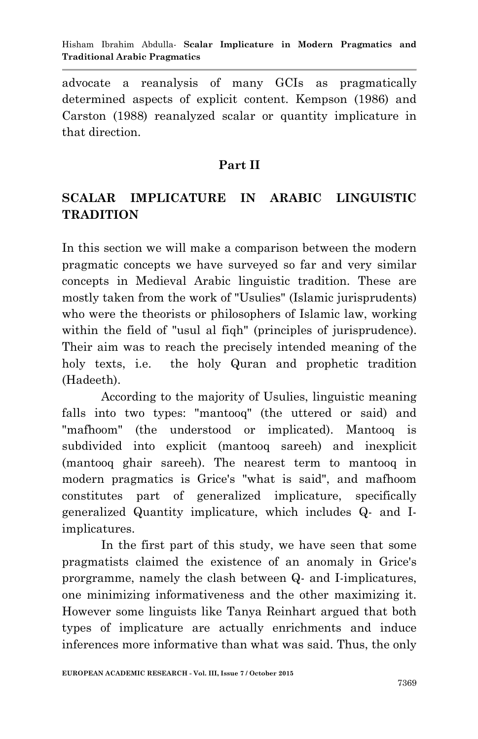advocate a reanalysis of many GCIs as pragmatically determined aspects of explicit content. Kempson (1986) and Carston (1988) reanalyzed scalar or quantity implicature in that direction.

### **Part II**

# **SCALAR IMPLICATURE IN ARABIC LINGUISTIC TRADITION**

In this section we will make a comparison between the modern pragmatic concepts we have surveyed so far and very similar concepts in Medieval Arabic linguistic tradition. These are mostly taken from the work of "Usulies" (Islamic jurisprudents) who were the theorists or philosophers of Islamic law, working within the field of "usul al fiqh" (principles of jurisprudence). Their aim was to reach the precisely intended meaning of the holy texts, i.e. the holy Quran and prophetic tradition (Hadeeth).

According to the majority of Usulies, linguistic meaning falls into two types: "mantooq" (the uttered or said) and "mafhoom" (the understood or implicated). Mantooq is subdivided into explicit (mantooq sareeh) and inexplicit (mantooq ghair sareeh). The nearest term to mantooq in modern pragmatics is Grice's "what is said", and mafhoom constitutes part of generalized implicature, specifically generalized Quantity implicature, which includes Q- and Iimplicatures.

In the first part of this study, we have seen that some pragmatists claimed the existence of an anomaly in Grice's prorgramme, namely the clash between Q- and I-implicatures, one minimizing informativeness and the other maximizing it. However some linguists like Tanya Reinhart argued that both types of implicature are actually enrichments and induce inferences more informative than what was said. Thus, the only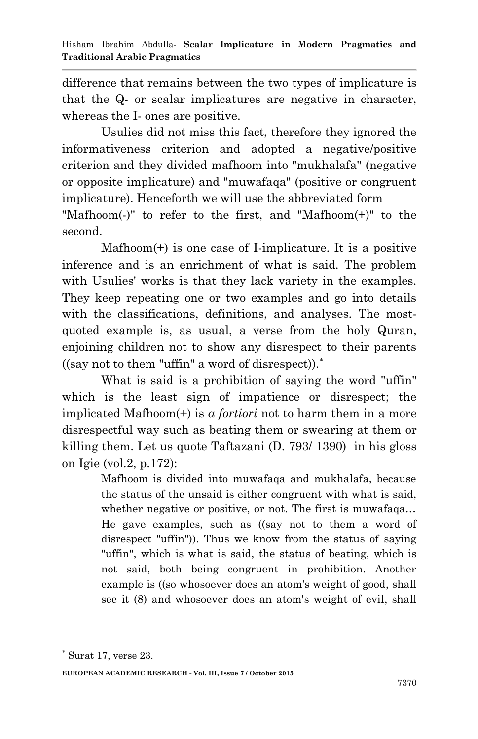difference that remains between the two types of implicature is that the Q- or scalar implicatures are negative in character, whereas the I- ones are positive.

Usulies did not miss this fact, therefore they ignored the informativeness criterion and adopted a negative/positive criterion and they divided mafhoom into "mukhalafa" (negative or opposite implicature) and "muwafaqa" (positive or congruent implicature). Henceforth we will use the abbreviated form

"Mafhoom(-)" to refer to the first, and "Mafhoom(+)" to the second.

Mafhoom(+) is one case of I-implicature. It is a positive inference and is an enrichment of what is said. The problem with Usulies' works is that they lack variety in the examples. They keep repeating one or two examples and go into details with the classifications, definitions, and analyses. The mostquoted example is, as usual, a verse from the holy Quran, enjoining children not to show any disrespect to their parents  $((say not to them "uffin" a word of disrespect))$ .

What is said is a prohibition of saying the word "uffin" which is the least sign of impatience or disrespect; the implicated Mafhoom(+) is *a fortiori* not to harm them in a more disrespectful way such as beating them or swearing at them or killing them. Let us quote Taftazani (D. 793/ 1390) in his gloss on Igie (vol.2, p.172):

> Mafhoom is divided into muwafaqa and mukhalafa, because the status of the unsaid is either congruent with what is said, whether negative or positive, or not. The first is muwafaqa... He gave examples, such as ((say not to them a word of disrespect "uffin")). Thus we know from the status of saying "uffin", which is what is said, the status of beating, which is not said, both being congruent in prohibition. Another example is ((so whosoever does an atom's weight of good, shall see it (8) and whosoever does an atom's weight of evil, shall

1

 $*$  Surat 17, verse 23.

**EUROPEAN ACADEMIC RESEARCH - Vol. III, Issue 7 / October 2015**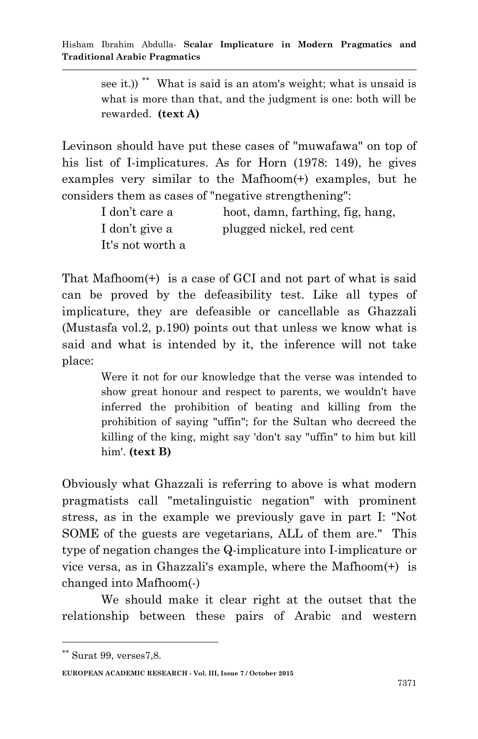see it.))<sup>\*\*</sup> What is said is an atom's weight; what is unsaid is what is more than that, and the judgment is one: both will be rewarded. **(text A)** 

Levinson should have put these cases of "muwafawa" on top of his list of I-implicatures. As for Horn (1978: 149), he gives examples very similar to the Mafhoom(+) examples, but he considers them as cases of "negative strengthening":

| I don't care a   | hoot, damn, farthing, fig, hang, |
|------------------|----------------------------------|
| I don't give a   | plugged nickel, red cent         |
| It's not worth a |                                  |

That Mafhoom(+) is a case of GCI and not part of what is said can be proved by the defeasibility test. Like all types of implicature, they are defeasible or cancellable as Ghazzali (Mustasfa vol.2, p.190) points out that unless we know what is said and what is intended by it, the inference will not take place:

> Were it not for our knowledge that the verse was intended to show great honour and respect to parents, we wouldn't have inferred the prohibition of beating and killing from the prohibition of saying "uffin"; for the Sultan who decreed the killing of the king, might say 'don't say "uffin" to him but kill him'. **(text B)**

Obviously what Ghazzali is referring to above is what modern pragmatists call "metalinguistic negation" with prominent stress, as in the example we previously gave in part I: "Not SOME of the guests are vegetarians, ALL of them are." This type of negation changes the Q-implicature into I-implicature or vice versa, as in Ghazzali's example, where the Mafhoom(+) is changed into Mafhoom(-)

We should make it clear right at the outset that the relationship between these pairs of Arabic and western

1

Surat 99, verses7,8.

**EUROPEAN ACADEMIC RESEARCH - Vol. III, Issue 7 / October 2015**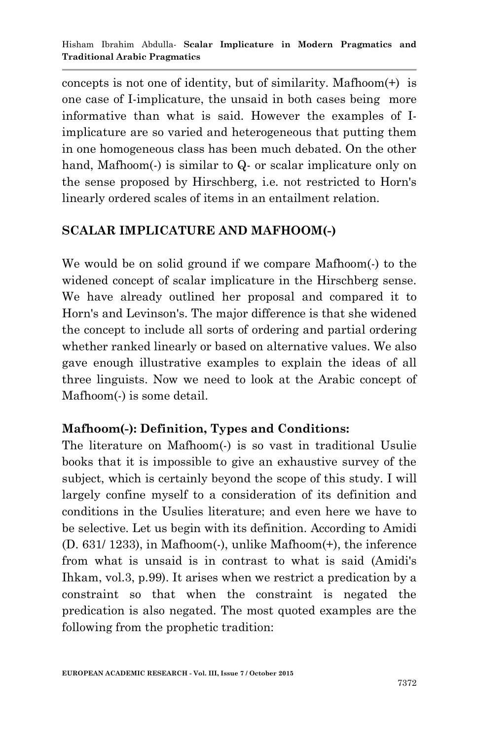concepts is not one of identity, but of similarity. Mafhoom(+) is one case of I-implicature, the unsaid in both cases being more informative than what is said. However the examples of Iimplicature are so varied and heterogeneous that putting them in one homogeneous class has been much debated. On the other hand, Mafhoom(-) is similar to Q- or scalar implicature only on the sense proposed by Hirschberg, i.e. not restricted to Horn's linearly ordered scales of items in an entailment relation.

## **SCALAR IMPLICATURE AND MAFHOOM(-)**

We would be on solid ground if we compare Mafhoom(-) to the widened concept of scalar implicature in the Hirschberg sense. We have already outlined her proposal and compared it to Horn's and Levinson's. The major difference is that she widened the concept to include all sorts of ordering and partial ordering whether ranked linearly or based on alternative values. We also gave enough illustrative examples to explain the ideas of all three linguists. Now we need to look at the Arabic concept of Mafhoom(-) is some detail.

## **Mafhoom(-): Definition, Types and Conditions:**

The literature on Mafhoom(-) is so vast in traditional Usulie books that it is impossible to give an exhaustive survey of the subject, which is certainly beyond the scope of this study. I will largely confine myself to a consideration of its definition and conditions in the Usulies literature; and even here we have to be selective. Let us begin with its definition. According to Amidi (D. 631/ 1233), in Mafhoom(-), unlike Mafhoom(+), the inference from what is unsaid is in contrast to what is said (Amidi's Ihkam, vol.3, p.99). It arises when we restrict a predication by a constraint so that when the constraint is negated the predication is also negated. The most quoted examples are the following from the prophetic tradition: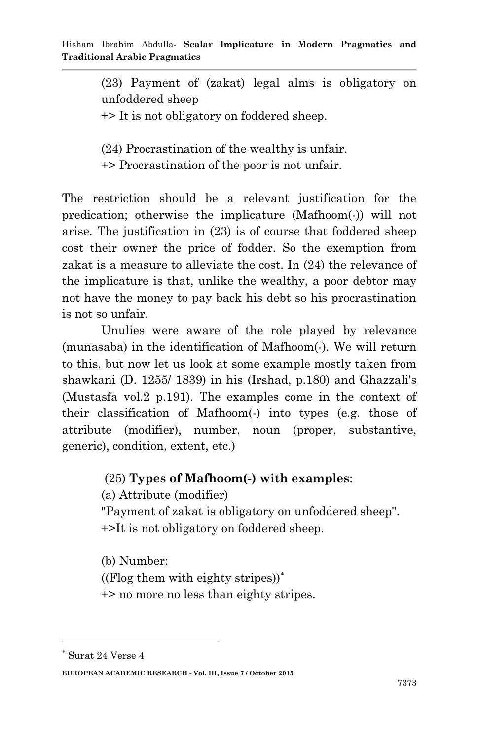(23) Payment of (zakat) legal alms is obligatory on unfoddered sheep

+> It is not obligatory on foddered sheep.

(24) Procrastination of the wealthy is unfair.

+> Procrastination of the poor is not unfair.

The restriction should be a relevant justification for the predication; otherwise the implicature (Mafhoom(-)) will not arise. The justification in (23) is of course that foddered sheep cost their owner the price of fodder. So the exemption from zakat is a measure to alleviate the cost. In (24) the relevance of the implicature is that, unlike the wealthy, a poor debtor may not have the money to pay back his debt so his procrastination is not so unfair.

Unulies were aware of the role played by relevance (munasaba) in the identification of Mafhoom(-). We will return to this, but now let us look at some example mostly taken from shawkani (D. 1255/ 1839) in his (Irshad, p.180) and Ghazzali's (Mustasfa vol.2 p.191). The examples come in the context of their classification of Mafhoom(-) into types (e.g. those of attribute (modifier), number, noun (proper, substantive, generic), condition, extent, etc.)

#### (25) **Types of Mafhoom(-) with examples**:

(a) Attribute (modifier)

"Payment of zakat is obligatory on unfoddered sheep". +>It is not obligatory on foddered sheep.

(b) Number:

((Flog them with eighty stripes))

+> no more no less than eighty stripes.

1

 $^\ast$ Surat 24 Verse $4$ 

**EUROPEAN ACADEMIC RESEARCH - Vol. III, Issue 7 / October 2015**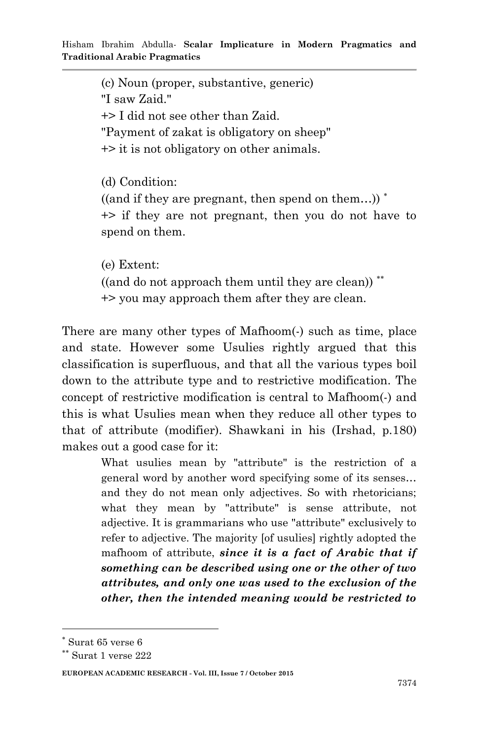(c) Noun (proper, substantive, generic) "I saw Zaid." +> I did not see other than Zaid. "Payment of zakat is obligatory on sheep" +> it is not obligatory on other animals. (d) Condition:

 $((and if they are present, then spend on them...)$ <sup>\*</sup> +> if they are not pregnant, then you do not have to spend on them.

(e) Extent: ((and do not approach them until they are clean)) +> you may approach them after they are clean.

There are many other types of Mafhoom(-) such as time, place and state. However some Usulies rightly argued that this classification is superfluous, and that all the various types boil down to the attribute type and to restrictive modification. The concept of restrictive modification is central to Mafhoom(-) and this is what Usulies mean when they reduce all other types to that of attribute (modifier). Shawkani in his (Irshad, p.180) makes out a good case for it:

> What usulies mean by "attribute" is the restriction of a general word by another word specifying some of its senses… and they do not mean only adjectives. So with rhetoricians; what they mean by "attribute" is sense attribute, not adjective. It is grammarians who use "attribute" exclusively to refer to adjective. The majority [of usulies] rightly adopted the mafhoom of attribute, *since it is a fact of Arabic that if something can be described using one or the other of two attributes, and only one was used to the exclusion of the other, then the intended meaning would be restricted to*

-

Surat 65 verse 6

Surat 1 verse 222

**EUROPEAN ACADEMIC RESEARCH - Vol. III, Issue 7 / October 2015**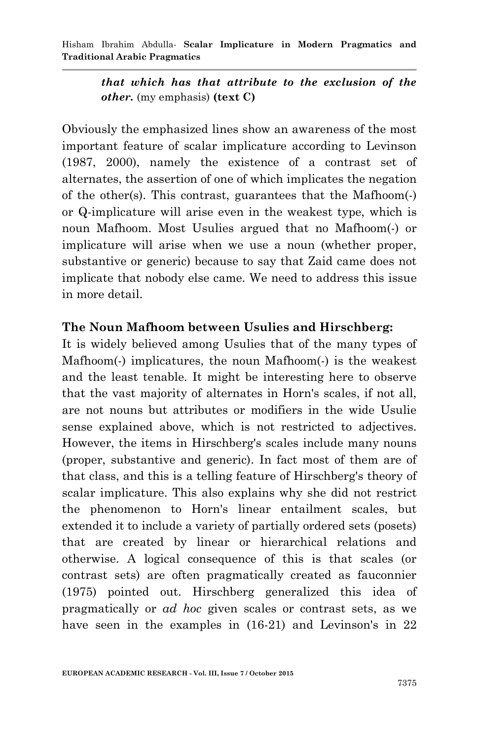*that which has that attribute to the exclusion of the other.* (my emphasis) **(text C)**

Obviously the emphasized lines show an awareness of the most important feature of scalar implicature according to Levinson (1987, 2000), namely the existence of a contrast set of alternates, the assertion of one of which implicates the negation of the other(s). This contrast, guarantees that the Mafhoom(-) or Q-implicature will arise even in the weakest type, which is noun Mafhoom. Most Usulies argued that no Mafhoom(-) or implicature will arise when we use a noun (whether proper, substantive or generic) because to say that Zaid came does not implicate that nobody else came. We need to address this issue in more detail.

### **The Noun Mafhoom between Usulies and Hirschberg:**

It is widely believed among Usulies that of the many types of Mafhoom(-) implicatures, the noun Mafhoom(-) is the weakest and the least tenable. It might be interesting here to observe that the vast majority of alternates in Horn's scales, if not all, are not nouns but attributes or modifiers in the wide Usulie sense explained above, which is not restricted to adjectives. However, the items in Hirschberg's scales include many nouns (proper, substantive and generic). In fact most of them are of that class, and this is a telling feature of Hirschberg's theory of scalar implicature. This also explains why she did not restrict the phenomenon to Horn's linear entailment scales, but extended it to include a variety of partially ordered sets (posets) that are created by linear or hierarchical relations and otherwise. A logical consequence of this is that scales (or contrast sets) are often pragmatically created as fauconnier (1975) pointed out. Hirschberg generalized this idea of pragmatically or *ad hoc* given scales or contrast sets, as we have seen in the examples in (16-21) and Levinson's in 22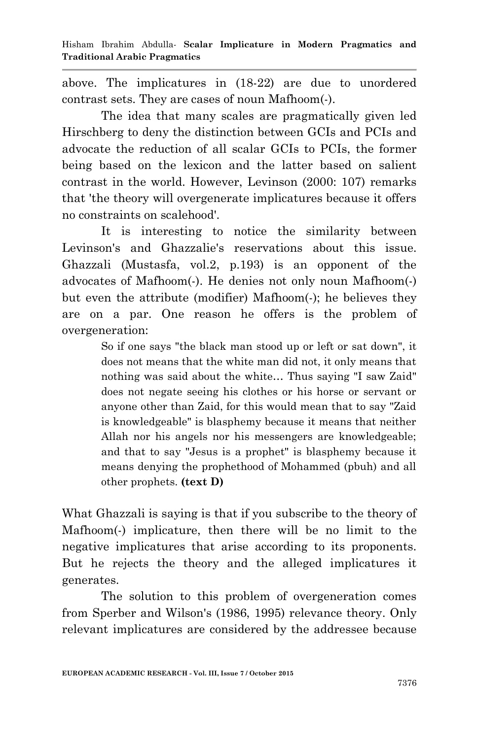above. The implicatures in (18-22) are due to unordered contrast sets. They are cases of noun Mafhoom(-).

The idea that many scales are pragmatically given led Hirschberg to deny the distinction between GCIs and PCIs and advocate the reduction of all scalar GCIs to PCIs, the former being based on the lexicon and the latter based on salient contrast in the world. However, Levinson (2000: 107) remarks that 'the theory will overgenerate implicatures because it offers no constraints on scalehood'.

It is interesting to notice the similarity between Levinson's and Ghazzalie's reservations about this issue. Ghazzali (Mustasfa, vol.2, p.193) is an opponent of the advocates of Mafhoom(-). He denies not only noun Mafhoom(-) but even the attribute (modifier) Mafhoom(-); he believes they are on a par. One reason he offers is the problem of overgeneration:

> So if one says "the black man stood up or left or sat down", it does not means that the white man did not, it only means that nothing was said about the white… Thus saying "I saw Zaid" does not negate seeing his clothes or his horse or servant or anyone other than Zaid, for this would mean that to say "Zaid is knowledgeable" is blasphemy because it means that neither Allah nor his angels nor his messengers are knowledgeable; and that to say "Jesus is a prophet" is blasphemy because it means denying the prophethood of Mohammed (pbuh) and all other prophets. **(text D)**

What Ghazzali is saying is that if you subscribe to the theory of Mafhoom(-) implicature, then there will be no limit to the negative implicatures that arise according to its proponents. But he rejects the theory and the alleged implicatures it generates.

The solution to this problem of overgeneration comes from Sperber and Wilson's (1986, 1995) relevance theory. Only relevant implicatures are considered by the addressee because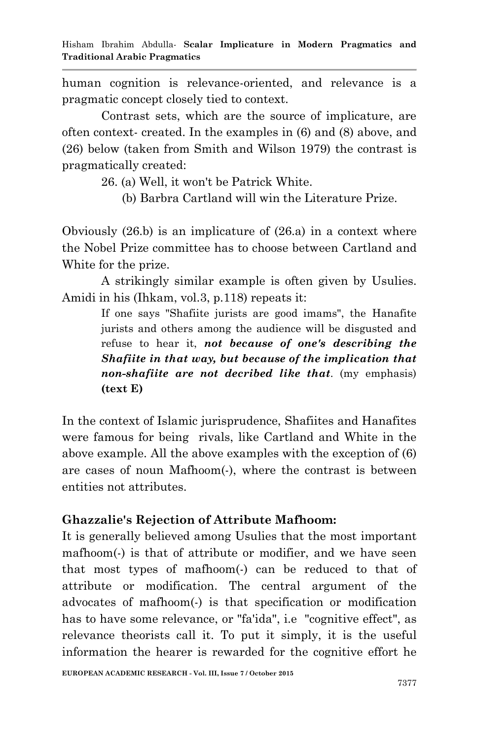human cognition is relevance-oriented, and relevance is a pragmatic concept closely tied to context.

Contrast sets, which are the source of implicature, are often context- created. In the examples in (6) and (8) above, and (26) below (taken from Smith and Wilson 1979) the contrast is pragmatically created:

26. (a) Well, it won't be Patrick White.

(b) Barbra Cartland will win the Literature Prize.

Obviously (26.b) is an implicature of (26.a) in a context where the Nobel Prize committee has to choose between Cartland and White for the prize.

A strikingly similar example is often given by Usulies. Amidi in his (Ihkam, vol.3, p.118) repeats it:

> If one says "Shafiite jurists are good imams", the Hanafite jurists and others among the audience will be disgusted and refuse to hear it, *not because of one's describing the Shafiite in that way, but because of the implication that non-shafiite are not decribed like that*. (my emphasis) **(text E)**

In the context of Islamic jurisprudence, Shafiites and Hanafites were famous for being rivals, like Cartland and White in the above example. All the above examples with the exception of (6) are cases of noun Mafhoom(-), where the contrast is between entities not attributes.

## **Ghazzalie's Rejection of Attribute Mafhoom:**

It is generally believed among Usulies that the most important mafhoom(-) is that of attribute or modifier, and we have seen that most types of mafhoom(-) can be reduced to that of attribute or modification. The central argument of the advocates of mafhoom(-) is that specification or modification has to have some relevance, or "fa'ida", i.e "cognitive effect", as relevance theorists call it. To put it simply, it is the useful information the hearer is rewarded for the cognitive effort he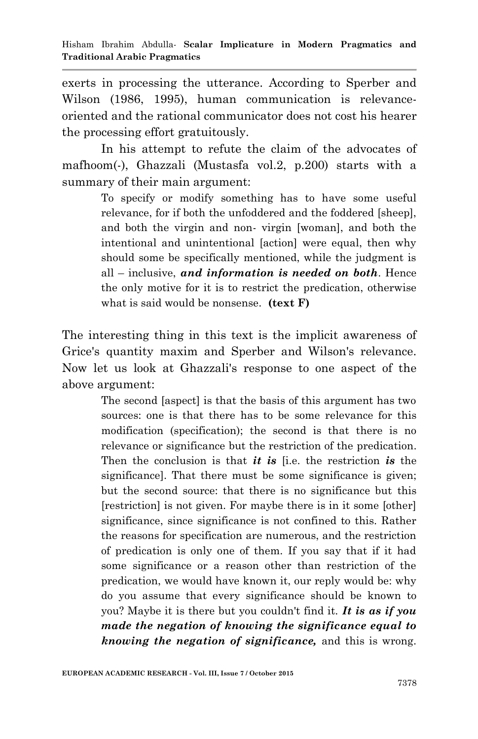exerts in processing the utterance. According to Sperber and Wilson (1986, 1995), human communication is relevanceoriented and the rational communicator does not cost his hearer the processing effort gratuitously.

In his attempt to refute the claim of the advocates of mafhoom(-), Ghazzali (Mustasfa vol.2, p.200) starts with a summary of their main argument:

> To specify or modify something has to have some useful relevance, for if both the unfoddered and the foddered [sheep], and both the virgin and non- virgin [woman], and both the intentional and unintentional [action] were equal, then why should some be specifically mentioned, while the judgment is all – inclusive, *and information is needed on both*. Hence the only motive for it is to restrict the predication, otherwise what is said would be nonsense. **(text F)**

The interesting thing in this text is the implicit awareness of Grice's quantity maxim and Sperber and Wilson's relevance. Now let us look at Ghazzali's response to one aspect of the above argument:

> The second [aspect] is that the basis of this argument has two sources: one is that there has to be some relevance for this modification (specification); the second is that there is no relevance or significance but the restriction of the predication. Then the conclusion is that *it is* [i.e. the restriction *is* the significance]. That there must be some significance is given; but the second source: that there is no significance but this [restriction] is not given. For maybe there is in it some [other] significance, since significance is not confined to this. Rather the reasons for specification are numerous, and the restriction of predication is only one of them. If you say that if it had some significance or a reason other than restriction of the predication, we would have known it, our reply would be: why do you assume that every significance should be known to you? Maybe it is there but you couldn't find it. *It is as if you made the negation of knowing the significance equal to knowing the negation of significance,* and this is wrong.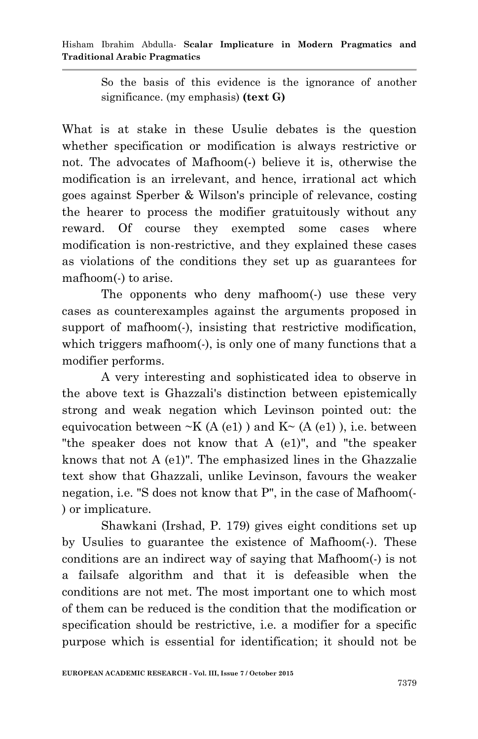So the basis of this evidence is the ignorance of another significance. (my emphasis) **(text G)** 

What is at stake in these Usulie debates is the question whether specification or modification is always restrictive or not. The advocates of Mafhoom(-) believe it is, otherwise the modification is an irrelevant, and hence, irrational act which goes against Sperber & Wilson's principle of relevance, costing the hearer to process the modifier gratuitously without any reward. Of course they exempted some cases where modification is non-restrictive, and they explained these cases as violations of the conditions they set up as guarantees for mafhoom(-) to arise.

The opponents who deny mafhoom(-) use these very cases as counterexamples against the arguments proposed in support of mafhoom(-), insisting that restrictive modification, which triggers mafhoom(-), is only one of many functions that a modifier performs.

A very interesting and sophisticated idea to observe in the above text is Ghazzali's distinction between epistemically strong and weak negation which Levinson pointed out: the equivocation between  $-K(A (e1))$  and  $K<sub>~</sub>(A (e1))$ , i.e. between "the speaker does not know that A (e1)", and "the speaker knows that not A (e1)". The emphasized lines in the Ghazzalie text show that Ghazzali, unlike Levinson, favours the weaker negation, i.e. "S does not know that P", in the case of Mafhoom(- ) or implicature.

Shawkani (Irshad, P. 179) gives eight conditions set up by Usulies to guarantee the existence of Mafhoom(-). These conditions are an indirect way of saying that Mafhoom(-) is not a failsafe algorithm and that it is defeasible when the conditions are not met. The most important one to which most of them can be reduced is the condition that the modification or specification should be restrictive, i.e. a modifier for a specific purpose which is essential for identification; it should not be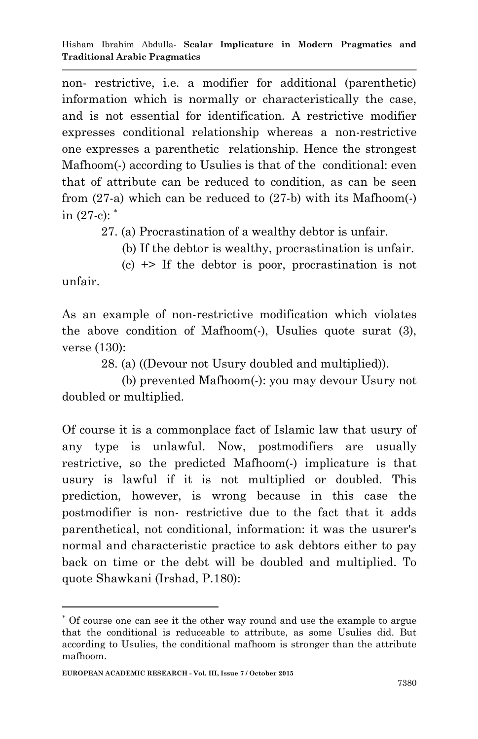non- restrictive, i.e. a modifier for additional (parenthetic) information which is normally or characteristically the case, and is not essential for identification. A restrictive modifier expresses conditional relationship whereas a non-restrictive one expresses a parenthetic relationship. Hence the strongest Mafhoom(-) according to Usulies is that of the conditional: even that of attribute can be reduced to condition, as can be seen from  $(27-a)$  which can be reduced to  $(27-b)$  with its Mafhoom(-) in  $(27-c)$ :  $*$ 

27. (a) Procrastination of a wealthy debtor is unfair.

(b) If the debtor is wealthy, procrastination is unfair.

 $(c) \leftrightarrow$  If the debtor is poor, procrastination is not unfair.

As an example of non-restrictive modification which violates the above condition of Mafhoom(-), Usulies quote surat (3), verse (130):

28. (a) ((Devour not Usury doubled and multiplied)).

 (b) prevented Mafhoom(-): you may devour Usury not doubled or multiplied.

Of course it is a commonplace fact of Islamic law that usury of any type is unlawful. Now, postmodifiers are usually restrictive, so the predicted Mafhoom(-) implicature is that usury is lawful if it is not multiplied or doubled. This prediction, however, is wrong because in this case the postmodifier is non- restrictive due to the fact that it adds parenthetical, not conditional, information: it was the usurer's normal and characteristic practice to ask debtors either to pay back on time or the debt will be doubled and multiplied. To quote Shawkani (Irshad, P.180):

**.** 

Of course one can see it the other way round and use the example to argue that the conditional is reduceable to attribute, as some Usulies did. But according to Usulies, the conditional mafhoom is stronger than the attribute mafhoom.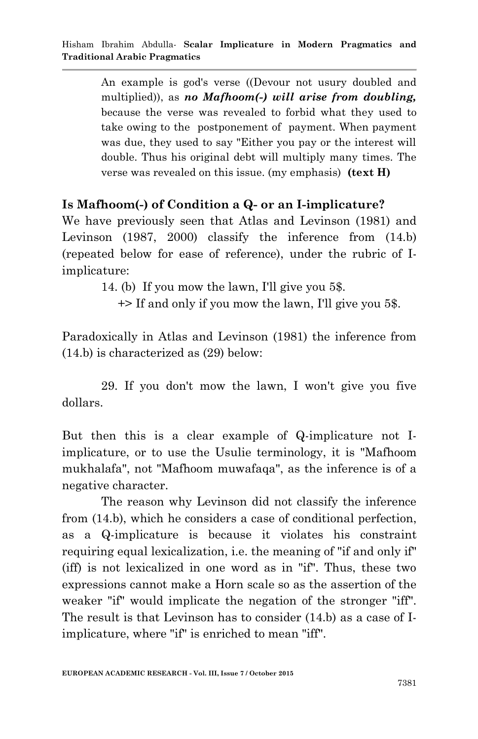An example is god's verse ((Devour not usury doubled and multiplied)), as *no Mafhoom(-) will arise from doubling,*  because the verse was revealed to forbid what they used to take owing to the postponement of payment. When payment was due, they used to say "Either you pay or the interest will double. Thus his original debt will multiply many times. The verse was revealed on this issue. (my emphasis) **(text H)** 

### **Is Mafhoom(-) of Condition a Q- or an I-implicature?**

We have previously seen that Atlas and Levinson (1981) and Levinson (1987, 2000) classify the inference from (14.b) (repeated below for ease of reference), under the rubric of Iimplicature:

14. (b) If you mow the lawn, I'll give you 5\$.

+> If and only if you mow the lawn, I'll give you 5\$.

Paradoxically in Atlas and Levinson (1981) the inference from (14.b) is characterized as (29) below:

29. If you don't mow the lawn, I won't give you five dollars.

But then this is a clear example of Q-implicature not Iimplicature, or to use the Usulie terminology, it is "Mafhoom mukhalafa", not "Mafhoom muwafaqa", as the inference is of a negative character.

The reason why Levinson did not classify the inference from (14.b), which he considers a case of conditional perfection, as a Q-implicature is because it violates his constraint requiring equal lexicalization, i.e. the meaning of "if and only if" (iff) is not lexicalized in one word as in "if". Thus, these two expressions cannot make a Horn scale so as the assertion of the weaker "if" would implicate the negation of the stronger "iff". The result is that Levinson has to consider (14.b) as a case of Iimplicature, where "if" is enriched to mean "iff".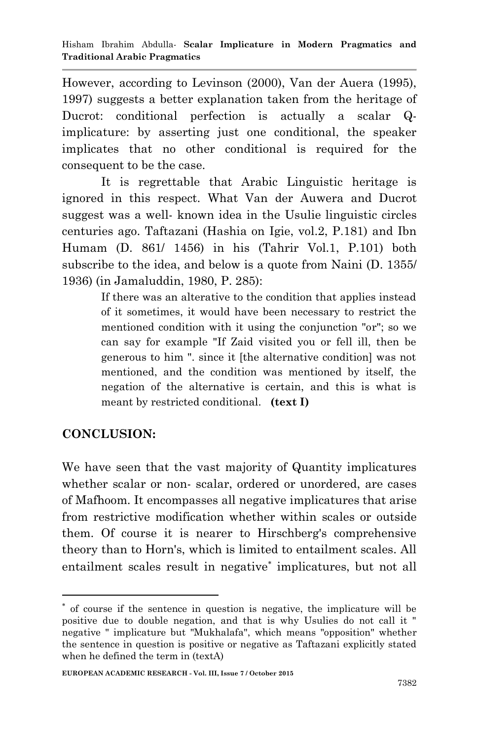However, according to Levinson (2000), Van der Auera (1995), 1997) suggests a better explanation taken from the heritage of Ducrot: conditional perfection is actually a scalar Qimplicature: by asserting just one conditional, the speaker implicates that no other conditional is required for the consequent to be the case.

It is regrettable that Arabic Linguistic heritage is ignored in this respect. What Van der Auwera and Ducrot suggest was a well- known idea in the Usulie linguistic circles centuries ago. Taftazani (Hashia on Igie, vol.2, P.181) and Ibn Humam (D. 861/ 1456) in his (Tahrir Vol.1, P.101) both subscribe to the idea, and below is a quote from Naini (D. 1355/ 1936) (in Jamaluddin, 1980, P. 285):

> If there was an alterative to the condition that applies instead of it sometimes, it would have been necessary to restrict the mentioned condition with it using the conjunction "or"; so we can say for example "If Zaid visited you or fell ill, then be generous to him ". since it [the alternative condition] was not mentioned, and the condition was mentioned by itself, the negation of the alternative is certain, and this is what is meant by restricted conditional. **(text I)**

## **CONCLUSION:**

**.** 

We have seen that the vast majority of Quantity implicatures whether scalar or non- scalar, ordered or unordered, are cases of Mafhoom. It encompasses all negative implicatures that arise from restrictive modification whether within scales or outside them. Of course it is nearer to Hirschberg's comprehensive theory than to Horn's, which is limited to entailment scales. All entailment scales result in negative<sup>\*</sup> implicatures, but not all

of course if the sentence in question is negative, the implicature will be positive due to double negation, and that is why Usulies do not call it " negative " implicature but "Mukhalafa", which means "opposition" whether the sentence in question is positive or negative as Taftazani explicitly stated when he defined the term in (textA)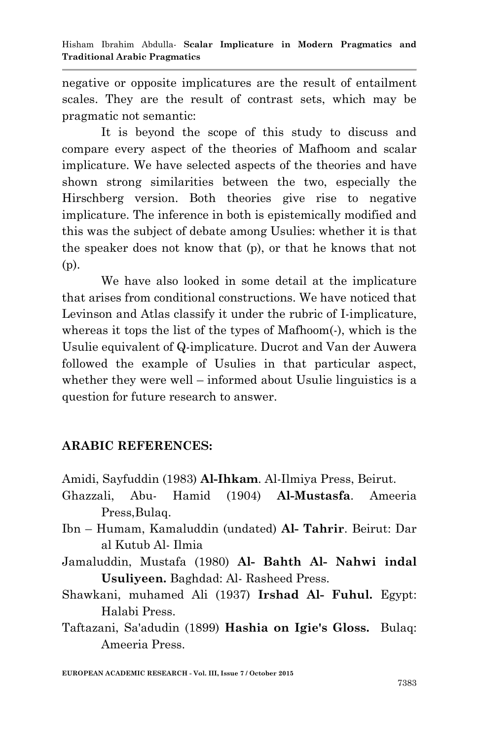negative or opposite implicatures are the result of entailment scales. They are the result of contrast sets, which may be pragmatic not semantic:

It is beyond the scope of this study to discuss and compare every aspect of the theories of Mafhoom and scalar implicature. We have selected aspects of the theories and have shown strong similarities between the two, especially the Hirschberg version. Both theories give rise to negative implicature. The inference in both is epistemically modified and this was the subject of debate among Usulies: whether it is that the speaker does not know that (p), or that he knows that not (p).

We have also looked in some detail at the implicature that arises from conditional constructions. We have noticed that Levinson and Atlas classify it under the rubric of I-implicature, whereas it tops the list of the types of Mafhoom(-), which is the Usulie equivalent of Q-implicature. Ducrot and Van der Auwera followed the example of Usulies in that particular aspect, whether they were well – informed about Usulie linguistics is a question for future research to answer.

# **ARABIC REFERENCES:**

- Amidi, Sayfuddin (1983) **Al-Ihkam**. Al-Ilmiya Press, Beirut.
- Ghazzali, Abu- Hamid (1904) **Al-Mustasfa**. Ameeria Press,Bulaq.
- Ibn Humam, Kamaluddin (undated) **Al- Tahrir**. Beirut: Dar al Kutub Al- Ilmia
- Jamaluddin, Mustafa (1980) **Al- Bahth Al- Nahwi indal Usuliyeen.** Baghdad: Al- Rasheed Press.
- Shawkani, muhamed Ali (1937) **Irshad Al- Fuhul.** Egypt: Halabi Press.
- Taftazani, Sa'adudin (1899) **Hashia on Igie's Gloss.** Bulaq: Ameeria Press.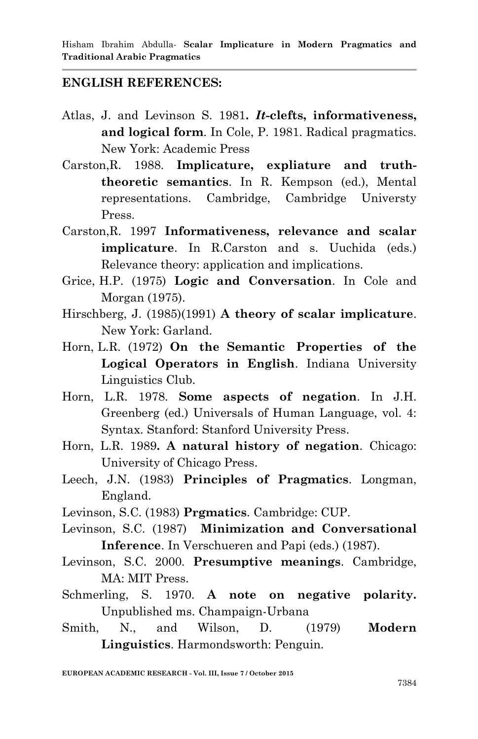#### **ENGLISH REFERENCES:**

- Atlas, J. and Levinson S. 1981**.** *It***-clefts, informativeness, and logical form**. In Cole, P. 1981. Radical pragmatics. New York: Academic Press
- Carston,R. 1988. **Implicature, expliature and truththeoretic semantics**. In R. Kempson (ed.), Mental representations. Cambridge, Cambridge Universty Press.
- Carston,R. 1997 **Informativeness, relevance and scalar implicature**. In R.Carston and s. Uuchida (eds.) Relevance theory: application and implications.
- Grice, H.P. (1975) **Logic and Conversation**. In Cole and Morgan (1975).
- Hirschberg, J. (1985)(1991) **A theory of scalar implicature**. New York: Garland.
- Horn, L.R. (1972) **On the Semantic Properties of the Logical Operators in English**. Indiana University Linguistics Club.
- Horn, L.R. 1978. **Some aspects of negation**. In J.H. Greenberg (ed.) Universals of Human Language, vol. 4: Syntax. Stanford: Stanford University Press.
- Horn, L.R. 1989**. A natural history of negation**. Chicago: University of Chicago Press.
- Leech, J.N. (1983) **Principles of Pragmatics**. Longman, England.
- Levinson, S.C. (1983) **Prgmatics**. Cambridge: CUP.
- Levinson, S.C. (1987) **Minimization and Conversational Inference**. In Verschueren and Papi (eds.) (1987).
- Levinson, S.C. 2000. **Presumptive meanings**. Cambridge, MA: MIT Press.
- Schmerling, S. 1970. **A note on negative polarity.** Unpublished ms. Champaign-Urbana
- Smith, N., and Wilson, D. (1979) **Modern Linguistics**. Harmondsworth: Penguin.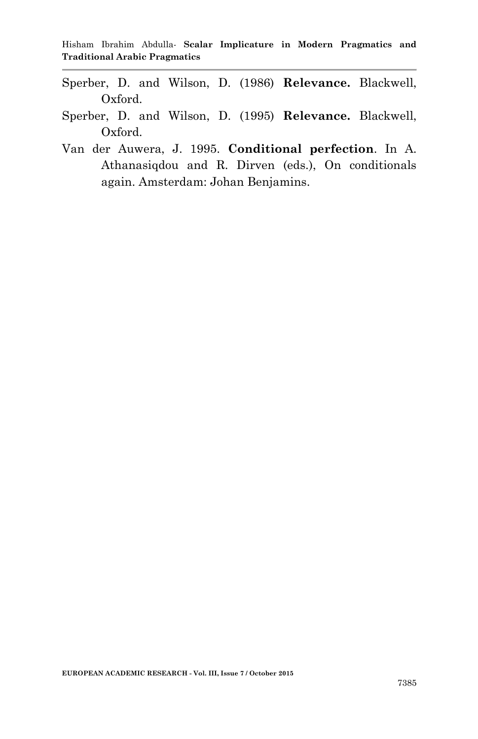- Sperber, D. and Wilson, D. (1986) **Relevance.** Blackwell, Oxford.
- Sperber, D. and Wilson, D. (1995) **Relevance.** Blackwell, Oxford.
- Van der Auwera, J. 1995. **Conditional perfection**. In A. Athanasiqdou and R. Dirven (eds.), On conditionals again. Amsterdam: Johan Benjamins.